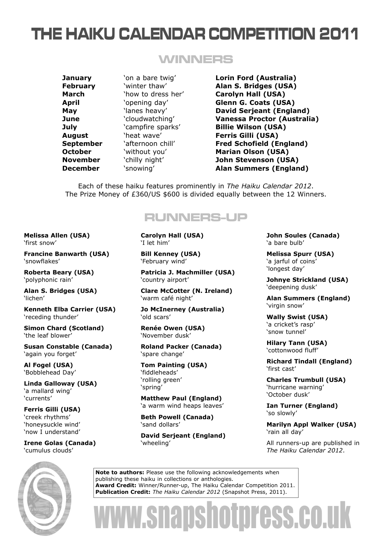## THE HAIKU CALENDAR COMPETITION 2011

### WINNERS

**January** 'on a bare twig' **Lorin Ford (Australia) February** 'winter thaw' **Alan S. Bridges (USA) March** 'how to dress her' **Carolyn Hall (USA) April** 'opening day' **Glenn G. Coats (USA) May** 'lanes heavy' **David Serjeant (England) June** 'cloudwatching' **Vanessa Proctor (Australia) July** 'campfire sparks' **Billie Wilson (USA) August** 'heat wave' **Ferris Gilli (USA) September** 'afternoon chill' **Fred Schofield (England) October Without you' Marian Olson (USA) November** 'chilly night' **John Stevenson (USA) December** 'snowing' **Alan Summers (England)**

Each of these haiku features prominently in *The Haiku Calendar 2012*. The Prize Money of £360/US \$600 is divided equally between the 12 Winners.

### RUNNERS-UP

**Melissa Allen (USA)** 'first snow'

**Francine Banwarth (USA)** 'snowflakes'

**Roberta Beary (USA)** 'polyphonic rain'

**Alan S. Bridges (USA)** 'lichen'

**Kenneth Elba Carrier (USA)** 'receding thunder'

**Simon Chard (Scotland)** 'the leaf blower'

**Susan Constable (Canada)** 'again you forget'

**Al Fogel (USA)** 'Bobblehead Day'

**Linda Galloway (USA)** 'a mallard wing' 'currents'

**Ferris Gilli (USA)** 'creek rhythms' 'honeysuckle wind' 'now I understand'

**Irene Golas (Canada)** 'cumulus clouds'

**Carolyn Hall (USA)** 'I let him'

**Bill Kenney (USA)** 'February wind'

**Patricia J. Machmiller (USA)** 'country airport'

**Clare McCotter (N. Ireland)** 'warm café night'

**Jo McInerney (Australia)** 'old scars'

**Renée Owen (USA)** 'November dusk'

**Roland Packer (Canada)** 'spare change'

**Tom Painting (USA)** 'fiddleheads' 'rolling green' 'spring'

**Matthew Paul (England)** 'a warm wind heaps leaves'

**Beth Powell (Canada)** 'sand dollars'

**David Serjeant (England)** 'wheeling'

**John Soules (Canada)** 'a bare bulb'

**Melissa Spurr (USA)** 'a jarful of coins' 'longest day'

**Johnye Strickland (USA)** 'deepening dusk'

**Alan Summers (England)** 'virgin snow'

**Wally Swist (USA)** 'a cricket's rasp' 'snow tunnel'

**Hilary Tann (USA)** 'cottonwood fluff'

**Richard Tindall (England)** 'first cast'

**Charles Trumbull (USA)** 'hurricane warning' 'October dusk'

**Ian Turner (England)** 'so slowly'

**Marilyn Appl Walker (USA)** 'rain all day'

All runners-up are published in *The Haiku Calendar 2012*.



**Note to authors:** Please use the following acknowledgements when publishing these haiku in collections or anthologies. **Award Credit:** Winner/Runner-up, The Haiku Calendar Competition 2011. **Publication Credit:** *The Haiku Calendar 2012* (Snapshot Press, 2011).

# www.snapshotpress.co.uk